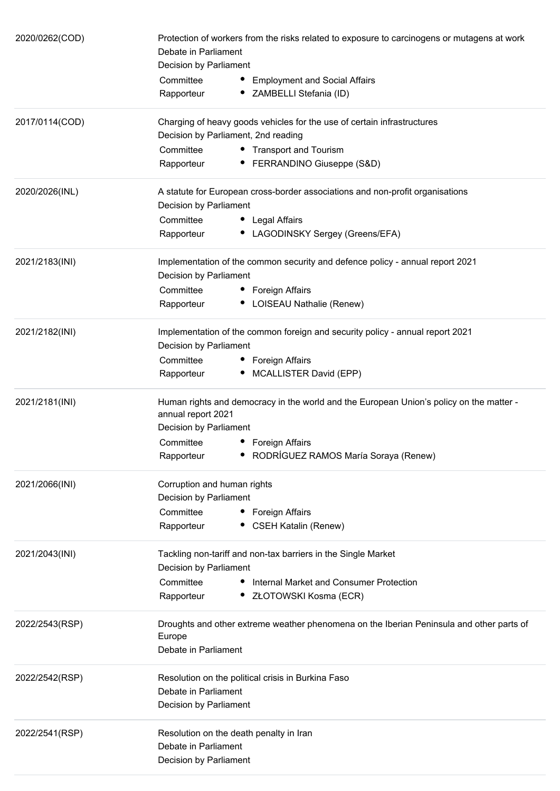| 2020/0262(COD) | Protection of workers from the risks related to exposure to carcinogens or mutagens at work<br>Debate in Parliament<br>Decision by Parliament |
|----------------|-----------------------------------------------------------------------------------------------------------------------------------------------|
|                | Committee<br>• Employment and Social Affairs<br>• ZAMBELLI Stefania (ID)<br>Rapporteur                                                        |
| 2017/0114(COD) | Charging of heavy goods vehicles for the use of certain infrastructures<br>Decision by Parliament, 2nd reading                                |
|                | Committee<br>• Transport and Tourism                                                                                                          |
|                | • FERRANDINO Giuseppe (S&D)<br>Rapporteur                                                                                                     |
| 2020/2026(INL) | A statute for European cross-border associations and non-profit organisations<br>Decision by Parliament                                       |
|                | Committee<br>• Legal Affairs                                                                                                                  |
|                | • LAGODINSKY Sergey (Greens/EFA)<br>Rapporteur                                                                                                |
| 2021/2183(INI) | Implementation of the common security and defence policy - annual report 2021<br>Decision by Parliament                                       |
|                | Committee<br>• Foreign Affairs                                                                                                                |
|                | • LOISEAU Nathalie (Renew)<br>Rapporteur                                                                                                      |
| 2021/2182(INI) | Implementation of the common foreign and security policy - annual report 2021<br>Decision by Parliament                                       |
|                | Committee<br>• Foreign Affairs                                                                                                                |
|                | • MCALLISTER David (EPP)<br>Rapporteur                                                                                                        |
| 2021/2181(INI) | Human rights and democracy in the world and the European Union's policy on the matter -<br>annual report 2021                                 |
|                | Decision by Parliament                                                                                                                        |
|                | Committee<br>• Foreign Affairs                                                                                                                |
|                | RODRÍGUEZ RAMOS María Soraya (Renew)<br>Rapporteur                                                                                            |
| 2021/2066(INI) | Corruption and human rights<br>Decision by Parliament                                                                                         |
|                | Committee<br>• Foreign Affairs                                                                                                                |
|                | <b>CSEH Katalin (Renew)</b><br>Rapporteur                                                                                                     |
| 2021/2043(INI) | Tackling non-tariff and non-tax barriers in the Single Market<br>Decision by Parliament                                                       |
|                | Committee<br>Internal Market and Consumer Protection                                                                                          |
|                | Rapporteur<br>ZŁOTOWSKI Kosma (ECR)                                                                                                           |
| 2022/2543(RSP) | Droughts and other extreme weather phenomena on the Iberian Peninsula and other parts of<br>Europe                                            |
|                | Debate in Parliament                                                                                                                          |
| 2022/2542(RSP) | Resolution on the political crisis in Burkina Faso                                                                                            |
|                | Debate in Parliament<br>Decision by Parliament                                                                                                |
| 2022/2541(RSP) | Resolution on the death penalty in Iran                                                                                                       |
|                | Debate in Parliament                                                                                                                          |
|                | Decision by Parliament                                                                                                                        |
|                |                                                                                                                                               |